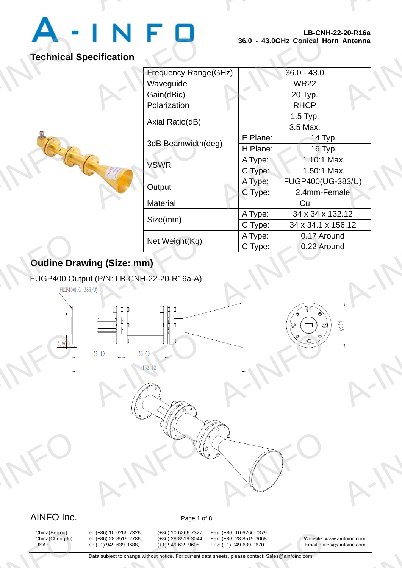

A-INFO

A-INFORMATION CONTINUES.

# **Technical Specification**

A-INFO

| ecification<br>Frequency Range(GHz)<br>$36.0 - 43.0$<br>Waveguide<br><b>WR22</b><br>Gain(dBic)<br>20 Typ.<br>Polarization<br><b>RHCP</b> |  |
|------------------------------------------------------------------------------------------------------------------------------------------|--|
|                                                                                                                                          |  |
|                                                                                                                                          |  |
|                                                                                                                                          |  |
|                                                                                                                                          |  |
|                                                                                                                                          |  |
| 1.5 Typ.                                                                                                                                 |  |
| Axial Ratio(dB)<br>3.5 Max.                                                                                                              |  |
| E Plane:<br>14 Typ.<br>3dB Beamwidth(deg)                                                                                                |  |
| H Plane:<br>16 Typ.                                                                                                                      |  |
| 1.10:1 Max.<br>A Type:<br><b>VSWR</b>                                                                                                    |  |
| C Type:<br>1.50:1 Max.                                                                                                                   |  |
| FUGP400(UG-383/U)<br>A Type:<br>Output                                                                                                   |  |
| C Type:<br>2.4mm-Female                                                                                                                  |  |
| Material<br>Cu                                                                                                                           |  |
| A Type:<br>34 x 34 x 132.12<br>Size(mm)                                                                                                  |  |
| C Type:<br>34 x 34.1 x 156.12                                                                                                            |  |
| A Type:<br>0.17 Around<br>Net Weight(Kg)                                                                                                 |  |
| C Type:<br>0.22 Around                                                                                                                   |  |

# **Outline Drawing (Size: mm)**

#### FUGP400 Output (P/N: LB-CNH-22-20-R16a-A)



R-INFORMATION



# AINFO Inc. Page 1 of 8

A-INFO

China(Beijing):<br>China(Chengdu):<br>USA :

China(Beijing): Tel: (+86) 10-6266-7326, (+86) 10-6266-7327 Fax: (+86) 10-6266-7379<br>China(Chengdu): Tel: (+86) 28-8519-2786, (+86) 28-8519-3044 Fax: (+86) 28-8519-3068 A: (+86) 10-6266-7326, (+86) 10-6266-7327<br>A: (+86) 28-8519-2786, (+86) 28-8519-3044<br>A: (+1) 949-639-9688, (+1) 949-639-9608<br>Data subject to change without notice. For current d

x: (+86) 10-6266-7379<br>x: (+86) 28-8519-3068<br>x: (+1) 949-639-9670 Email: sale<br>heets, please contact: Sales@ainfoinc.com

A-INFO

China(Chengdu): Tel: (+86) 28-8519-2786, (+86) 28-8519-3044 Fax: (+86) 28-8519-3068 Website: www.ainfoinc.com USA : Tel: (+1) 949-639-9688, (+1) 949-639-9608 Fax: (+1) 949-639-9670 Email: sales@ainfoinc.com infoinc.com

A-INFO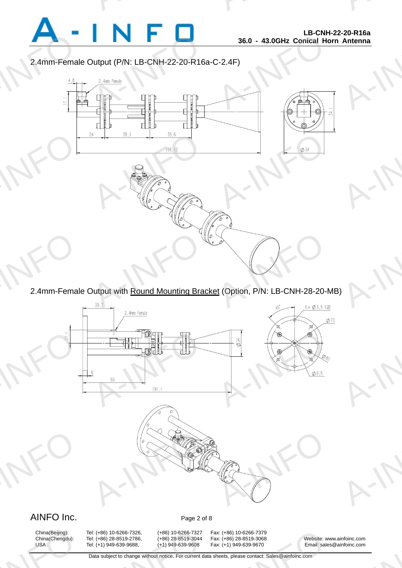

A-INFO

A-INFORMATION CONTINUES.

2.4mm-Female Output (P/N: LB-CNH-22-20-R16a-C-2.4F)

A-INFORMATION CONTINUES.



2.4mm-Female Output with Round Mounting Bracket (Option, P/N: LB-CNH-28-20-MB)



## AINFO Inc. Page 2 of 8

China(Beijing):<br>China(Chengdu):<br>USA :

China(Beijing): Tel: (+86) 10-6266-7326, (+86) 10-6266-7327 Fax: (+86) 10-6266-7379<br>China(Chengdu): Tel: (+86) 28-8519-2786, (+86) 28-8519-3044 Fax: (+86) 28-8519-3068 A: (+86) 10-6266-7326, (+86) 10-6266-7327<br>A: (+86) 28-8519-2786, (+86) 28-8519-3044<br>A: (+1) 949-639-9688, (+1) 949-639-9608<br>Data subject to change without notice. For current d

x: (+86) 10-6266-7379<br>x: (+86) 28-8519-3068<br>x: (+1) 949-639-9670 Email: sale<br>heets, please contact: Sales@ainfoinc.com

China(Chengdu): Tel: (+86) 28-8519-2786, (+86) 28-8519-3044 Fax: (+86) 28-8519-3068 Website: www.ainfoinc.com USA : Tel: (+1) 949-639-9688, (+1) 949-639-9608 Fax: (+1) 949-639-9670 Email: sales@ainfoinc.com infoinc.com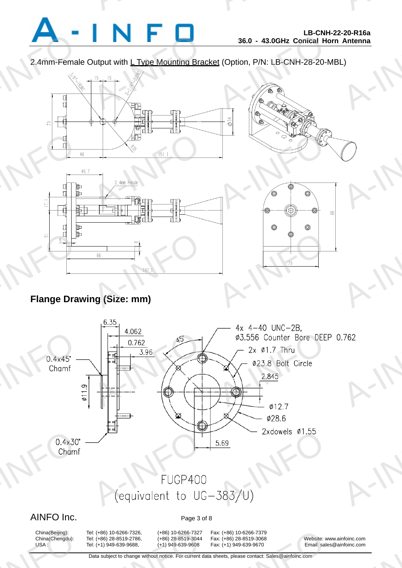

A-INFO

A-INFORMATION CONTINUES.

2.4mm-Female Output with L Type Mounting Bracket (Option, P/N: LB-CNH-28-20-MBL)



## **Flange Drawing (Size: mm)**



#### AINFO Inc. Page 3 of 8

China(Beijing):<br>China(Chengdu):<br>USA :

A: (+86) 10-6266-7326, (+86) 10-6266-7327<br>A: (+86) 28-8519-2786, (+86) 28-8519-3044<br>A: (+1) 949-639-9688, (+1) 949-639-9608<br>Data subject to change without notice. For current d

China(Beijing): Tel: (+86) 10-6266-7326, (+86) 10-6266-7327 Fax: (+86) 10-6266-7379<br>China(Chengdu): Tel: (+86) 28-8519-2786, (+86) 28-8519-3044 Fax: (+86) 28-8519-3068 x: (+86) 10-6266-7379<br>x: (+86) 28-8519-3068<br>x: (+1) 949-639-9670 Email: sale<br>heets, please contact: Sales@ainfoinc.com

Tel: (+86) 28-8519-2786, (+86) 28-8519-3044 Fax: (+86) 28-8519-3068 Website: www.ainfoinc.com USA : Tel: (+1) 949-639-9688, (+1) 949-639-9608 Fax: (+1) 949-639-9670 Email: sales@ainfoinc.com infoinc.com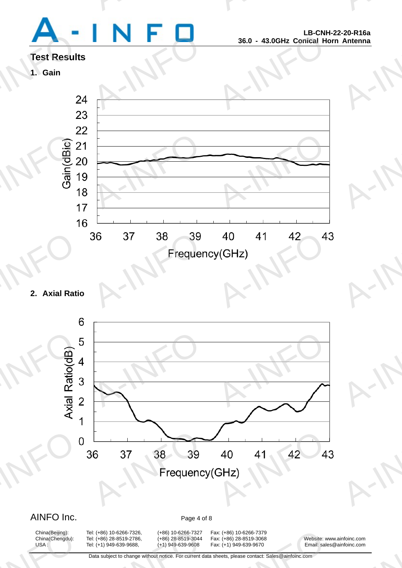

A-INFO

A-INFO

A-INFO

A-INFORMATION CONTINUES.

## **Test Results**

## **1. Gain**



### **2. Axial Ratio**



China(Beijing):<br>China(Chengdu):<br>USA :

A: (+86) 10-6266-7326, (+86) 10-6266-7327<br>A: (+86) 28-8519-2786, (+86) 28-8519-3044<br>A: (+1) 949-639-9688, (+1) 949-639-9608<br>Data subject to change without notice. For current d

China(Beijing): Tel: (+86) 10-6266-7326, (+86) 10-6266-7327 Fax: (+86) 10-6266-7379 x: (+86) 10-6266-7379<br>x: (+86) 28-8519-3068<br>x: (+1) 949-639-9670 Email: sale<br>heets, please contact: Sales@ainfoinc.com

China(Chengdu): Tel: (+86) 28-8519-2786, (+86) 28-8519-3044 Fax: (+86) 28-8519-3068 Website: www.ainfoinc.com USA : Tel: (+1) 949-639-9688, (+1) 949-639-9608 Fax: (+1) 949-639-9670 Email: sales@ainfoinc.com infoinc.com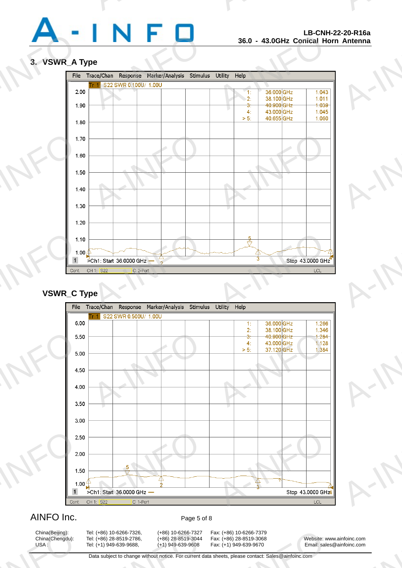

A-INFO

A-INFO

A-INFO

A-INFO

A-INFO

A-INFORMATION CONTINUES.

#### **3. VSWR\_A Type**



#### **VSWR\_C Type**



#### AINFO Inc. Page 5 of 8

China(Beijing):<br>China(Chengdu):<br>USA :

A: (+86) 10-6266-7326, (+86) 10-6266-7327<br>A: (+86) 28-8519-2786, (+86) 28-8519-3044<br>A: (+1) 949-639-9688, (+1) 949-639-9608<br>Data subject to change without notice. For current d

China(Beijing): Tel: (+86) 10-6266-7326, (+86) 10-6266-7327 Fax: (+86) 10-6266-7379 x: (+86) 10-6266-7379<br>x: (+86) 28-8519-3068<br>x: (+1) 949-639-9670 Email: sale<br>heets, please contact: Sales@ainfoinc.com

China(Chengdu): Tel: (+86) 28-8519-2786, (+86) 28-8519-3044 Fax: (+86) 28-8519-3068 Website: www.ainfoinc.com USA : Tel: (+1) 949-639-9688, (+1) 949-639-9608 Fax: (+1) 949-639-9670 Email: sales@ainfoinc.com infoinc.com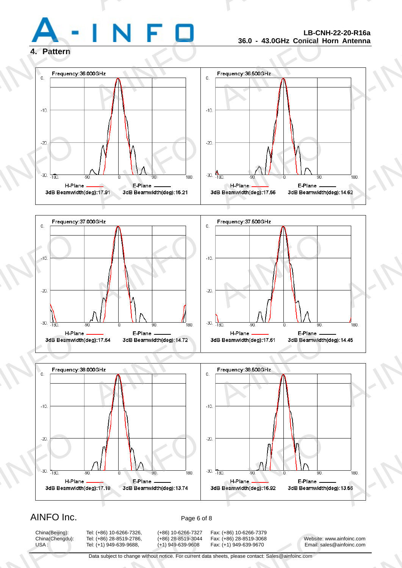

A-INFO

A-INFORMATION CONTINUES.

#### **4. Pattern**







#### AINFO Inc. Page 6 of 8

China(Beijing):<br>China(Chengdu):<br>USA :

A: (+86) 10-6266-7326, (+86) 10-6266-7327<br>A: (+86) 28-8519-2786, (+86) 28-8519-3044<br>A: (+1) 949-639-9688, (+1) 949-639-9608<br>Data subject to change without notice. For current d

China(Beijing): Tel: (+86) 10-6266-7326, (+86) 10-6266-7327 Fax: (+86) 10-6266-7379 x: (+86) 10-6266-7379<br>x: (+86) 28-8519-3068<br>x: (+1) 949-639-9670 Email: sale<br>heets, please contact: Sales@ainfoinc.com

China(Chengdu): Tel: (+86) 28-8519-2786, (+86) 28-8519-3044 Fax: (+86) 28-8519-3068 Website: www.ainfoinc.com USA : Tel: (+1) 949-639-9688, (+1) 949-639-9608 Fax: (+1) 949-639-9670 Email: sales@ainfoinc.com infoinc.com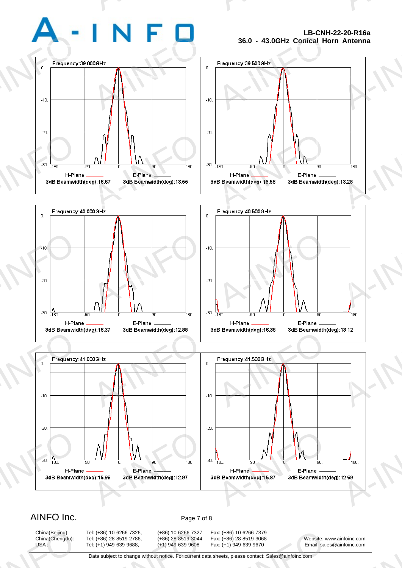

A-INFO

A-INFORMATION CONTINUES.







#### AINFO Inc. Page 7 of 8

China(Beijing):<br>China(Chengdu):<br>USA :

A: (+86) 10-6266-7326, (+86) 10-6266-7327<br>A: (+86) 28-8519-2786, (+86) 28-8519-3044<br>A: (+1) 949-639-9688, (+1) 949-639-9608<br>Data subject to change without notice. For current d

China(Beijing): Tel: (+86) 10-6266-7326, (+86) 10-6266-7327 Fax: (+86) 10-6266-7379 x: (+86) 10-6266-7379<br>x: (+86) 28-8519-3068<br>x: (+1) 949-639-9670 Email: sale<br>heets, please contact: Sales@ainfoinc.com

China(Chengdu): Tel: (+86) 28-8519-2786, (+86) 28-8519-3044 Fax: (+86) 28-8519-3068 Website: www.ainfoinc.com USA : Tel: (+1) 949-639-9688, (+1) 949-639-9608 Fax: (+1) 949-639-9670 Email: sales@ainfoinc.com infoinc.com